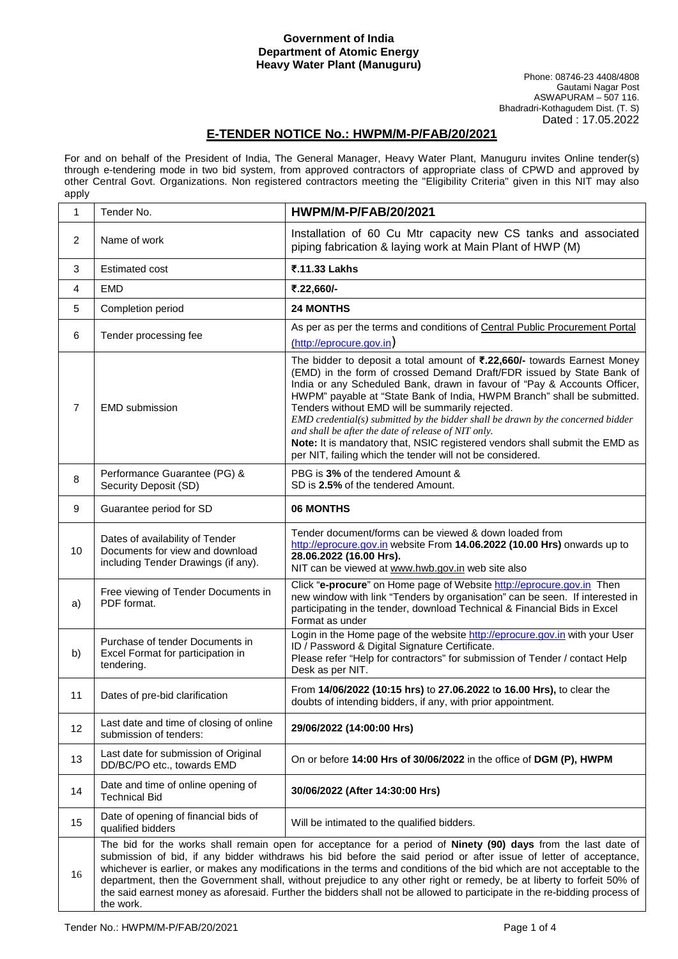## **Government of India Department of Atomic Energy Heavy Water Plant (Manuguru)**

## Phone: 08746-23 4408/4808 Gautami Nagar Post ASWAPURAM – 507 116. Bhadradri-Kothagudem Dist. (T. S) Dated : 17.05.2022

## **E-TENDER NOTICE No.: HWPM/M-P/FAB/20/2021**

For and on behalf of the President of India, The General Manager, Heavy Water Plant, Manuguru invites Online tender(s) through e-tendering mode in two bid system, from approved contractors of appropriate class of CPWD and approved by other Central Govt. Organizations. Non registered contractors meeting the "Eligibility Criteria" given in this NIT may also apply

| 1  | Tender No.                                                                                                | <b>HWPM/M-P/FAB/20/2021</b>                                                                                                                                                                                                                                                                                                                                                                                                                                                                                                                                                                                                                          |
|----|-----------------------------------------------------------------------------------------------------------|------------------------------------------------------------------------------------------------------------------------------------------------------------------------------------------------------------------------------------------------------------------------------------------------------------------------------------------------------------------------------------------------------------------------------------------------------------------------------------------------------------------------------------------------------------------------------------------------------------------------------------------------------|
| 2  | Name of work                                                                                              | Installation of 60 Cu Mtr capacity new CS tanks and associated<br>piping fabrication & laying work at Main Plant of HWP (M)                                                                                                                                                                                                                                                                                                                                                                                                                                                                                                                          |
| 3  | <b>Estimated cost</b>                                                                                     | ₹.11.33 Lakhs                                                                                                                                                                                                                                                                                                                                                                                                                                                                                                                                                                                                                                        |
| 4  | <b>EMD</b>                                                                                                | ₹.22,660/-                                                                                                                                                                                                                                                                                                                                                                                                                                                                                                                                                                                                                                           |
| 5  | Completion period                                                                                         | <b>24 MONTHS</b>                                                                                                                                                                                                                                                                                                                                                                                                                                                                                                                                                                                                                                     |
| 6  | Tender processing fee                                                                                     | As per as per the terms and conditions of Central Public Procurement Portal<br>(http://eprocure.gov.in)                                                                                                                                                                                                                                                                                                                                                                                                                                                                                                                                              |
| 7  | <b>EMD</b> submission                                                                                     | The bidder to deposit a total amount of ₹.22,660/- towards Earnest Money<br>(EMD) in the form of crossed Demand Draft/FDR issued by State Bank of<br>India or any Scheduled Bank, drawn in favour of "Pay & Accounts Officer,<br>HWPM" payable at "State Bank of India, HWPM Branch" shall be submitted.<br>Tenders without EMD will be summarily rejected.<br>$EMD$ credential(s) submitted by the bidder shall be drawn by the concerned bidder<br>and shall be after the date of release of NIT only.<br>Note: It is mandatory that, NSIC registered vendors shall submit the EMD as<br>per NIT, failing which the tender will not be considered. |
| 8  | Performance Guarantee (PG) &<br>Security Deposit (SD)                                                     | PBG is 3% of the tendered Amount &<br>SD is 2.5% of the tendered Amount.                                                                                                                                                                                                                                                                                                                                                                                                                                                                                                                                                                             |
| 9  | Guarantee period for SD                                                                                   | <b>06 MONTHS</b>                                                                                                                                                                                                                                                                                                                                                                                                                                                                                                                                                                                                                                     |
| 10 | Dates of availability of Tender<br>Documents for view and download<br>including Tender Drawings (if any). | Tender document/forms can be viewed & down loaded from<br>http://eprocure.gov.in website From 14.06.2022 (10.00 Hrs) onwards up to<br>28.06.2022 (16.00 Hrs).<br>NIT can be viewed at www.hwb.gov.in web site also                                                                                                                                                                                                                                                                                                                                                                                                                                   |
| a) | Free viewing of Tender Documents in<br>PDF format.                                                        | Click "e-procure" on Home page of Website http://eprocure.gov.in Then<br>new window with link "Tenders by organisation" can be seen. If interested in<br>participating in the tender, download Technical & Financial Bids in Excel<br>Format as under                                                                                                                                                                                                                                                                                                                                                                                                |
| b) | Purchase of tender Documents in<br>Excel Format for participation in<br>tendering.                        | Login in the Home page of the website http://eprocure.gov.in with your User<br>ID / Password & Digital Signature Certificate.<br>Please refer "Help for contractors" for submission of Tender / contact Help<br>Desk as per NIT.                                                                                                                                                                                                                                                                                                                                                                                                                     |
| 11 | Dates of pre-bid clarification                                                                            | From 14/06/2022 (10:15 hrs) to 27.06.2022 to 16.00 Hrs), to clear the<br>doubts of intending bidders, if any, with prior appointment.                                                                                                                                                                                                                                                                                                                                                                                                                                                                                                                |
| 12 | Last date and time of closing of online<br>submission of tenders:                                         | 29/06/2022 (14:00:00 Hrs)                                                                                                                                                                                                                                                                                                                                                                                                                                                                                                                                                                                                                            |
| 13 | Last date for submission of Original<br>DD/BC/PO etc., towards EMD                                        | On or before 14:00 Hrs of 30/06/2022 in the office of DGM (P), HWPM                                                                                                                                                                                                                                                                                                                                                                                                                                                                                                                                                                                  |
| 14 | Date and time of online opening of<br><b>Technical Bid</b>                                                | 30/06/2022 (After 14:30:00 Hrs)                                                                                                                                                                                                                                                                                                                                                                                                                                                                                                                                                                                                                      |
| 15 | Date of opening of financial bids of<br>qualified bidders                                                 | Will be intimated to the qualified bidders.                                                                                                                                                                                                                                                                                                                                                                                                                                                                                                                                                                                                          |
| 16 | the work.                                                                                                 | The bid for the works shall remain open for acceptance for a period of Ninety (90) days from the last date of<br>submission of bid, if any bidder withdraws his bid before the said period or after issue of letter of acceptance,<br>whichever is earlier, or makes any modifications in the terms and conditions of the bid which are not acceptable to the<br>department, then the Government shall, without prejudice to any other right or remedy, be at liberty to forfeit 50% of<br>the said earnest money as aforesaid. Further the bidders shall not be allowed to participate in the re-bidding process of                                 |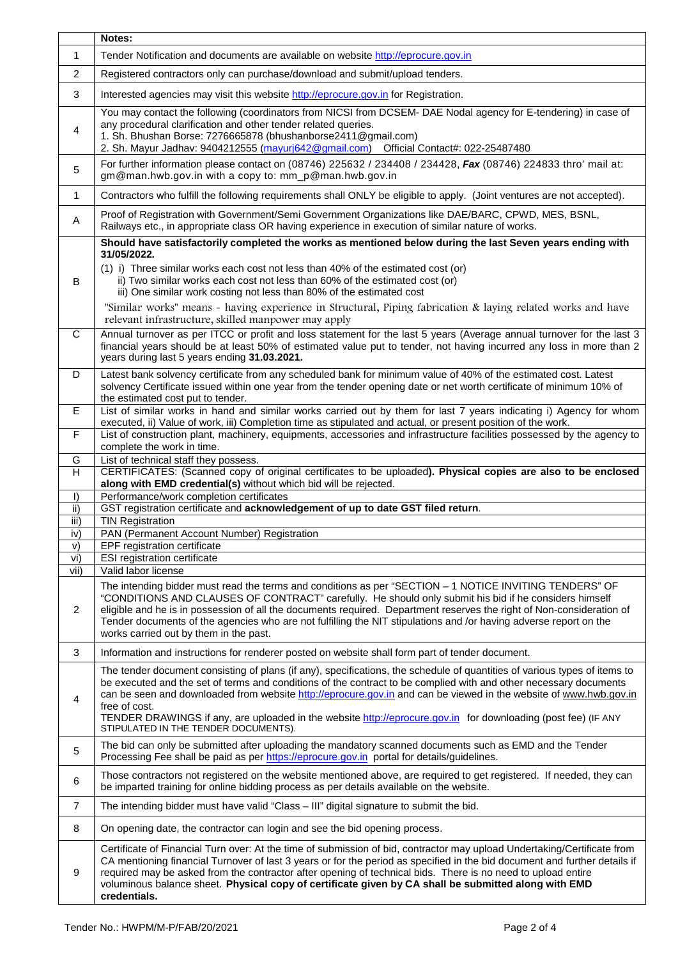|                | Notes:                                                                                                                                                                                                                                                                                                                                                                                                                                                                                                                                        |  |  |
|----------------|-----------------------------------------------------------------------------------------------------------------------------------------------------------------------------------------------------------------------------------------------------------------------------------------------------------------------------------------------------------------------------------------------------------------------------------------------------------------------------------------------------------------------------------------------|--|--|
| $\mathbf{1}$   | Tender Notification and documents are available on website http://eprocure.gov.in                                                                                                                                                                                                                                                                                                                                                                                                                                                             |  |  |
| 2              | Registered contractors only can purchase/download and submit/upload tenders.                                                                                                                                                                                                                                                                                                                                                                                                                                                                  |  |  |
| 3              | Interested agencies may visit this website http://eprocure.gov.in for Registration.                                                                                                                                                                                                                                                                                                                                                                                                                                                           |  |  |
| 4              | You may contact the following (coordinators from NICSI from DCSEM- DAE Nodal agency for E-tendering) in case of<br>any procedural clarification and other tender related queries.<br>1. Sh. Bhushan Borse: 7276665878 (bhushanborse2411@gmail.com)<br>2. Sh. Mayur Jadhav: 9404212555 (mayurj642@gmail.com) Official Contact#: 022-25487480                                                                                                                                                                                                   |  |  |
| 5              | For further information please contact on (08746) 225632 / 234408 / 234428, Fax (08746) 224833 thro' mail at:<br>gm@man.hwb.gov.in with a copy to: mm_p@man.hwb.gov.in                                                                                                                                                                                                                                                                                                                                                                        |  |  |
| $\mathbf{1}$   | Contractors who fulfill the following requirements shall ONLY be eligible to apply. (Joint ventures are not accepted).                                                                                                                                                                                                                                                                                                                                                                                                                        |  |  |
| Α              | Proof of Registration with Government/Semi Government Organizations like DAE/BARC, CPWD, MES, BSNL,<br>Railways etc., in appropriate class OR having experience in execution of similar nature of works.                                                                                                                                                                                                                                                                                                                                      |  |  |
| B              | Should have satisfactorily completed the works as mentioned below during the last Seven years ending with<br>31/05/2022.<br>(1) i) Three similar works each cost not less than 40% of the estimated cost (or)<br>ii) Two similar works each cost not less than 60% of the estimated cost (or)<br>iii) One similar work costing not less than 80% of the estimated cost<br>"Similar works" means - having experience in Structural, Piping fabrication & laying related works and have<br>relevant infrastructure, skilled manpower may apply  |  |  |
| С              | Annual turnover as per ITCC or profit and loss statement for the last 5 years (Average annual turnover for the last 3<br>financial years should be at least 50% of estimated value put to tender, not having incurred any loss in more than 2<br>years during last 5 years ending 31.03.2021.                                                                                                                                                                                                                                                 |  |  |
| D              | Latest bank solvency certificate from any scheduled bank for minimum value of 40% of the estimated cost. Latest<br>solvency Certificate issued within one year from the tender opening date or net worth certificate of minimum 10% of<br>the estimated cost put to tender.                                                                                                                                                                                                                                                                   |  |  |
| E              | List of similar works in hand and similar works carried out by them for last 7 years indicating i) Agency for whom<br>executed, ii) Value of work, iii) Completion time as stipulated and actual, or present position of the work.                                                                                                                                                                                                                                                                                                            |  |  |
| F              | List of construction plant, machinery, equipments, accessories and infrastructure facilities possessed by the agency to<br>complete the work in time.                                                                                                                                                                                                                                                                                                                                                                                         |  |  |
| G<br>H         | List of technical staff they possess.<br>CERTIFICATES: (Scanned copy of original certificates to be uploaded). Physical copies are also to be enclosed                                                                                                                                                                                                                                                                                                                                                                                        |  |  |
|                | along with EMD credential(s) without which bid will be rejected.                                                                                                                                                                                                                                                                                                                                                                                                                                                                              |  |  |
| $\vert$<br>ii) | Performance/work completion certificates<br>GST registration certificate and acknowledgement of up to date GST filed return.                                                                                                                                                                                                                                                                                                                                                                                                                  |  |  |
| iii)           | <b>TIN Registration</b>                                                                                                                                                                                                                                                                                                                                                                                                                                                                                                                       |  |  |
| iv)            | PAN (Permanent Account Number) Registration                                                                                                                                                                                                                                                                                                                                                                                                                                                                                                   |  |  |
| V)<br>vi)      | EPF registration certificate<br><b>ESI</b> registration certificate                                                                                                                                                                                                                                                                                                                                                                                                                                                                           |  |  |
| vii)           | Valid labor license                                                                                                                                                                                                                                                                                                                                                                                                                                                                                                                           |  |  |
| $\overline{2}$ | The intending bidder must read the terms and conditions as per "SECTION - 1 NOTICE INVITING TENDERS" OF<br>"CONDITIONS AND CLAUSES OF CONTRACT" carefully. He should only submit his bid if he considers himself<br>eligible and he is in possession of all the documents required. Department reserves the right of Non-consideration of<br>Tender documents of the agencies who are not fulfilling the NIT stipulations and /or having adverse report on the<br>works carried out by them in the past.                                      |  |  |
| 3              | Information and instructions for renderer posted on website shall form part of tender document.                                                                                                                                                                                                                                                                                                                                                                                                                                               |  |  |
| $\overline{4}$ | The tender document consisting of plans (if any), specifications, the schedule of quantities of various types of items to<br>be executed and the set of terms and conditions of the contract to be complied with and other necessary documents<br>can be seen and downloaded from website http://eprocure.gov.in and can be viewed in the website of www.hwb.gov.in<br>free of cost.<br>TENDER DRAWINGS if any, are uploaded in the website http://eprocure.gov.in for downloading (post fee) (IF ANY<br>STIPULATED IN THE TENDER DOCUMENTS). |  |  |
| 5              | The bid can only be submitted after uploading the mandatory scanned documents such as EMD and the Tender<br>Processing Fee shall be paid as per https://eprocure.gov.in portal for details/guidelines.                                                                                                                                                                                                                                                                                                                                        |  |  |
| 6              | Those contractors not registered on the website mentioned above, are required to get registered. If needed, they can<br>be imparted training for online bidding process as per details available on the website.                                                                                                                                                                                                                                                                                                                              |  |  |
| $\overline{7}$ | The intending bidder must have valid "Class - III" digital signature to submit the bid.                                                                                                                                                                                                                                                                                                                                                                                                                                                       |  |  |
| 8              | On opening date, the contractor can login and see the bid opening process.                                                                                                                                                                                                                                                                                                                                                                                                                                                                    |  |  |
| 9              | Certificate of Financial Turn over: At the time of submission of bid, contractor may upload Undertaking/Certificate from<br>CA mentioning financial Turnover of last 3 years or for the period as specified in the bid document and further details if<br>required may be asked from the contractor after opening of technical bids. There is no need to upload entire<br>voluminous balance sheet. Physical copy of certificate given by CA shall be submitted along with EMD<br>credentials.                                                |  |  |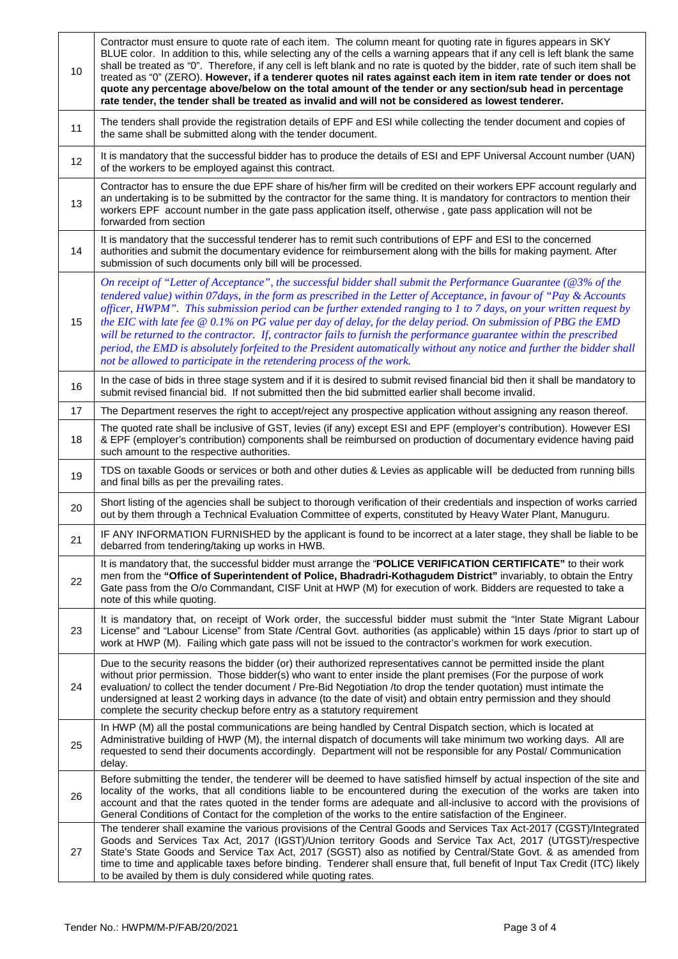| 10 | Contractor must ensure to quote rate of each item. The column meant for quoting rate in figures appears in SKY<br>BLUE color. In addition to this, while selecting any of the cells a warning appears that if any cell is left blank the same<br>shall be treated as "0". Therefore, if any cell is left blank and no rate is quoted by the bidder, rate of such item shall be<br>treated as "0" (ZERO). However, if a tenderer quotes nil rates against each item in item rate tender or does not<br>quote any percentage above/below on the total amount of the tender or any section/sub head in percentage<br>rate tender, the tender shall be treated as invalid and will not be considered as lowest tenderer. |  |  |
|----|----------------------------------------------------------------------------------------------------------------------------------------------------------------------------------------------------------------------------------------------------------------------------------------------------------------------------------------------------------------------------------------------------------------------------------------------------------------------------------------------------------------------------------------------------------------------------------------------------------------------------------------------------------------------------------------------------------------------|--|--|
| 11 | The tenders shall provide the registration details of EPF and ESI while collecting the tender document and copies of<br>the same shall be submitted along with the tender document.                                                                                                                                                                                                                                                                                                                                                                                                                                                                                                                                  |  |  |
| 12 | It is mandatory that the successful bidder has to produce the details of ESI and EPF Universal Account number (UAN)<br>of the workers to be employed against this contract.                                                                                                                                                                                                                                                                                                                                                                                                                                                                                                                                          |  |  |
| 13 | Contractor has to ensure the due EPF share of his/her firm will be credited on their workers EPF account regularly and<br>an undertaking is to be submitted by the contractor for the same thing. It is mandatory for contractors to mention their<br>workers EPF account number in the gate pass application itself, otherwise, gate pass application will not be<br>forwarded from section                                                                                                                                                                                                                                                                                                                         |  |  |
| 14 | It is mandatory that the successful tenderer has to remit such contributions of EPF and ESI to the concerned<br>authorities and submit the documentary evidence for reimbursement along with the bills for making payment. After<br>submission of such documents only bill will be processed.                                                                                                                                                                                                                                                                                                                                                                                                                        |  |  |
|    | On receipt of "Letter of Acceptance", the successful bidder shall submit the Performance Guarantee (@3% of the<br>tendered value) within 07days, in the form as prescribed in the Letter of Acceptance, in favour of "Pay & Accounts                                                                                                                                                                                                                                                                                                                                                                                                                                                                                 |  |  |
| 15 | officer, HWPM". This submission period can be further extended ranging to $1$ to $7$ days, on your written request by<br>the EIC with late fee $@0.1\%$ on PG value per day of delay, for the delay period. On submission of PBG the EMD<br>will be returned to the contractor. If, contractor fails to furnish the performance guarantee within the prescribed<br>period, the EMD is absolutely forfeited to the President automatically without any notice and further the bidder shall                                                                                                                                                                                                                            |  |  |
|    | not be allowed to participate in the retendering process of the work.<br>In the case of bids in three stage system and if it is desired to submit revised financial bid then it shall be mandatory to                                                                                                                                                                                                                                                                                                                                                                                                                                                                                                                |  |  |
| 16 | submit revised financial bid. If not submitted then the bid submitted earlier shall become invalid.                                                                                                                                                                                                                                                                                                                                                                                                                                                                                                                                                                                                                  |  |  |
| 17 | The Department reserves the right to accept/reject any prospective application without assigning any reason thereof.                                                                                                                                                                                                                                                                                                                                                                                                                                                                                                                                                                                                 |  |  |
| 18 | The quoted rate shall be inclusive of GST, levies (if any) except ESI and EPF (employer's contribution). However ESI<br>& EPF (employer's contribution) components shall be reimbursed on production of documentary evidence having paid<br>such amount to the respective authorities.                                                                                                                                                                                                                                                                                                                                                                                                                               |  |  |
| 19 | TDS on taxable Goods or services or both and other duties & Levies as applicable will be deducted from running bills<br>and final bills as per the prevailing rates.                                                                                                                                                                                                                                                                                                                                                                                                                                                                                                                                                 |  |  |
| 20 | Short listing of the agencies shall be subject to thorough verification of their credentials and inspection of works carried<br>out by them through a Technical Evaluation Committee of experts, constituted by Heavy Water Plant, Manuguru.                                                                                                                                                                                                                                                                                                                                                                                                                                                                         |  |  |
| 21 | IF ANY INFORMATION FURNISHED by the applicant is found to be incorrect at a later stage, they shall be liable to be<br>debarred from tendering/taking up works in HWB.                                                                                                                                                                                                                                                                                                                                                                                                                                                                                                                                               |  |  |
| 22 | It is mandatory that, the successful bidder must arrange the "POLICE VERIFICATION CERTIFICATE" to their work<br>men from the "Office of Superintendent of Police, Bhadradri-Kothagudem District" invariably, to obtain the Entry<br>Gate pass from the O/o Commandant, CISF Unit at HWP (M) for execution of work. Bidders are requested to take a<br>note of this while quoting.                                                                                                                                                                                                                                                                                                                                    |  |  |
| 23 | It is mandatory that, on receipt of Work order, the successful bidder must submit the "Inter State Migrant Labour<br>License" and "Labour License" from State /Central Govt. authorities (as applicable) within 15 days /prior to start up of<br>work at HWP (M). Failing which gate pass will not be issued to the contractor's workmen for work execution.                                                                                                                                                                                                                                                                                                                                                         |  |  |
| 24 | Due to the security reasons the bidder (or) their authorized representatives cannot be permitted inside the plant<br>without prior permission. Those bidder(s) who want to enter inside the plant premises (For the purpose of work<br>evaluation/ to collect the tender document / Pre-Bid Negotiation /to drop the tender quotation) must intimate the<br>undersigned at least 2 working days in advance (to the date of visit) and obtain entry permission and they should<br>complete the security checkup before entry as a statutory requirement                                                                                                                                                               |  |  |
| 25 | In HWP (M) all the postal communications are being handled by Central Dispatch section, which is located at<br>Administrative building of HWP (M), the internal dispatch of documents will take minimum two working days. All are<br>requested to send their documents accordingly. Department will not be responsible for any Postal/ Communication<br>delay.                                                                                                                                                                                                                                                                                                                                                       |  |  |
| 26 | Before submitting the tender, the tenderer will be deemed to have satisfied himself by actual inspection of the site and<br>locality of the works, that all conditions liable to be encountered during the execution of the works are taken into<br>account and that the rates quoted in the tender forms are adequate and all-inclusive to accord with the provisions of<br>General Conditions of Contact for the completion of the works to the entire satisfaction of the Engineer.                                                                                                                                                                                                                               |  |  |
| 27 | The tenderer shall examine the various provisions of the Central Goods and Services Tax Act-2017 (CGST)/Integrated<br>Goods and Services Tax Act, 2017 (IGST)/Union territory Goods and Service Tax Act, 2017 (UTGST)/respective<br>State's State Goods and Service Tax Act, 2017 (SGST) also as notified by Central/State Govt. & as amended from<br>time to time and applicable taxes before binding. Tenderer shall ensure that, full benefit of Input Tax Credit (ITC) likely<br>to be availed by them is duly considered while quoting rates.                                                                                                                                                                   |  |  |